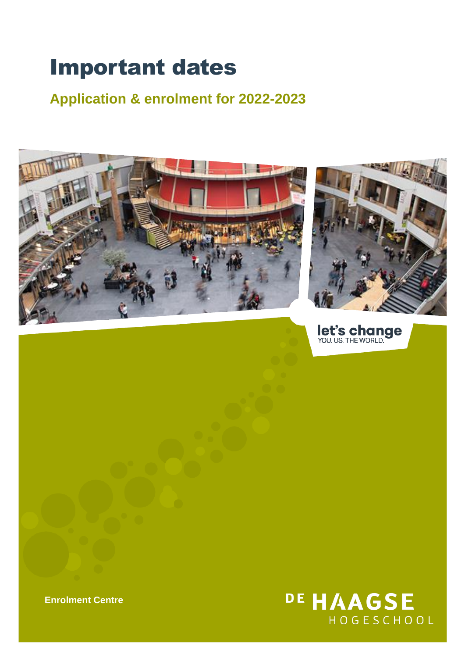# Important dates

**Application & enrolment for 2022-2023**





let's change

DE HAAGSE HOGESCHOOL

**Enrolment Centre**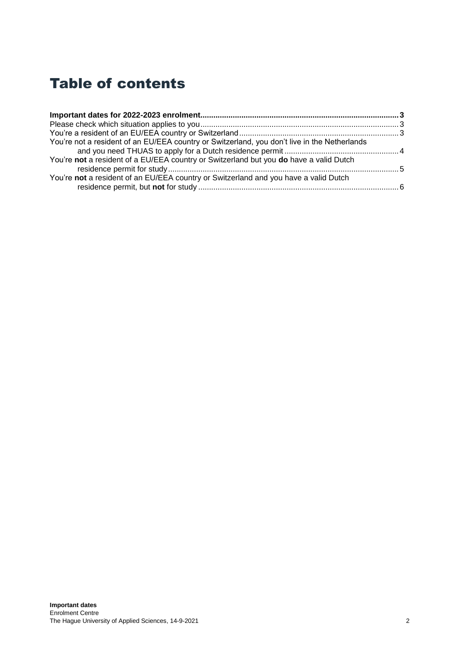# Table of contents

| You're not a resident of an EU/EEA country or Switzerland, you don't live in the Netherlands |  |
|----------------------------------------------------------------------------------------------|--|
|                                                                                              |  |
| You're not a resident of a EU/EEA country or Switzerland but you do have a valid Dutch       |  |
|                                                                                              |  |
| You're not a resident of an EU/EEA country or Switzerland and you have a valid Dutch         |  |
|                                                                                              |  |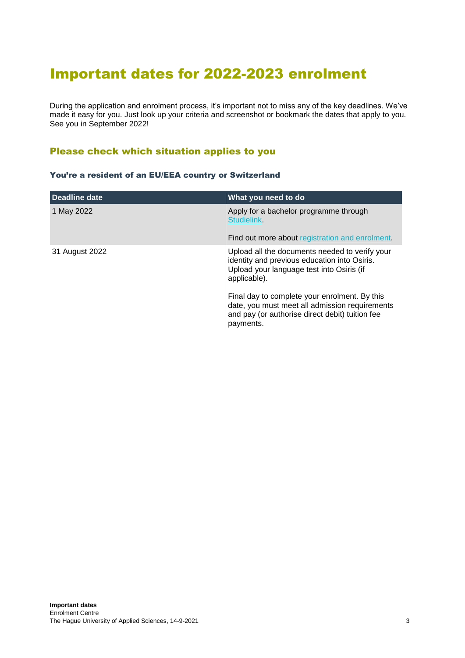# <span id="page-2-0"></span>Important dates for 2022-2023 enrolment

During the application and enrolment process, it's important not to miss any of the key deadlines. We've made it easy for you. Just look up your criteria and screenshot or bookmark the dates that apply to you. See you in September 2022!

# <span id="page-2-1"></span>Please check which situation applies to you

#### <span id="page-2-2"></span>You're a resident of an EU/EEA country or Switzerland

| Deadline date  | What you need to do                                                                                                                                             |
|----------------|-----------------------------------------------------------------------------------------------------------------------------------------------------------------|
| 1 May 2022     | Apply for a bachelor programme through<br><b>Studielink</b><br>Find out more about registration and enrolment.                                                  |
| 31 August 2022 | Upload all the documents needed to verify your<br>identity and previous education into Osiris.<br>Upload your language test into Osiris (if<br>applicable).     |
|                | Final day to complete your enrolment. By this<br>date, you must meet all admission requirements<br>and pay (or authorise direct debit) tuition fee<br>payments. |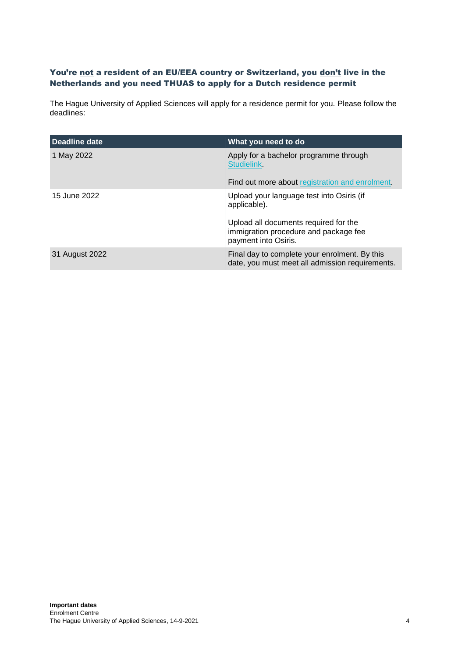### <span id="page-3-0"></span>You're not a resident of an EU/EEA country or Switzerland, you don't live in the Netherlands and you need THUAS to apply for a Dutch residence permit

The Hague University of Applied Sciences will apply for a residence permit for you. Please follow the deadlines:

| Deadline date  | What you need to do                                                                                            |
|----------------|----------------------------------------------------------------------------------------------------------------|
| 1 May 2022     | Apply for a bachelor programme through<br><b>Studielink</b><br>Find out more about registration and enrolment. |
| 15 June 2022   | Upload your language test into Osiris (if<br>applicable).<br>Upload all documents required for the             |
|                | immigration procedure and package fee<br>payment into Osiris.                                                  |
| 31 August 2022 | Final day to complete your enrolment. By this<br>date, you must meet all admission requirements.               |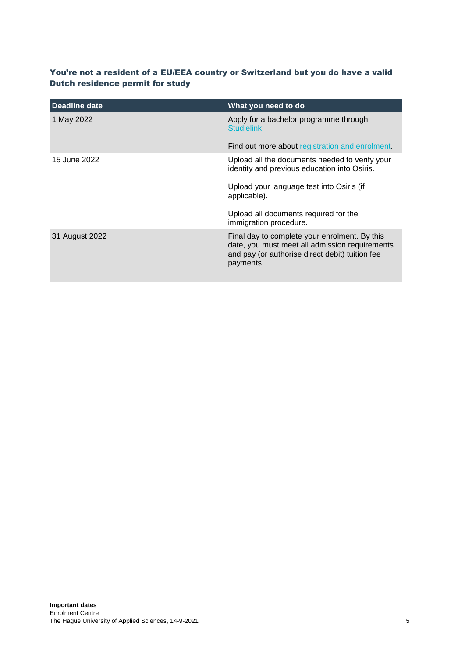# <span id="page-4-0"></span>You're not a resident of a EU/EEA country or Switzerland but you do have a valid Dutch residence permit for study

| <b>Deadline date</b> | What you need to do                                                                                                                                                                                                            |
|----------------------|--------------------------------------------------------------------------------------------------------------------------------------------------------------------------------------------------------------------------------|
| 1 May 2022           | Apply for a bachelor programme through<br><b>Studielink</b><br>Find out more about registration and enrolment.                                                                                                                 |
| 15 June 2022         | Upload all the documents needed to verify your<br>identity and previous education into Osiris.<br>Upload your language test into Osiris (if<br>applicable).<br>Upload all documents required for the<br>immigration procedure. |
| 31 August 2022       | Final day to complete your enrolment. By this<br>date, you must meet all admission requirements<br>and pay (or authorise direct debit) tuition fee<br>payments.                                                                |